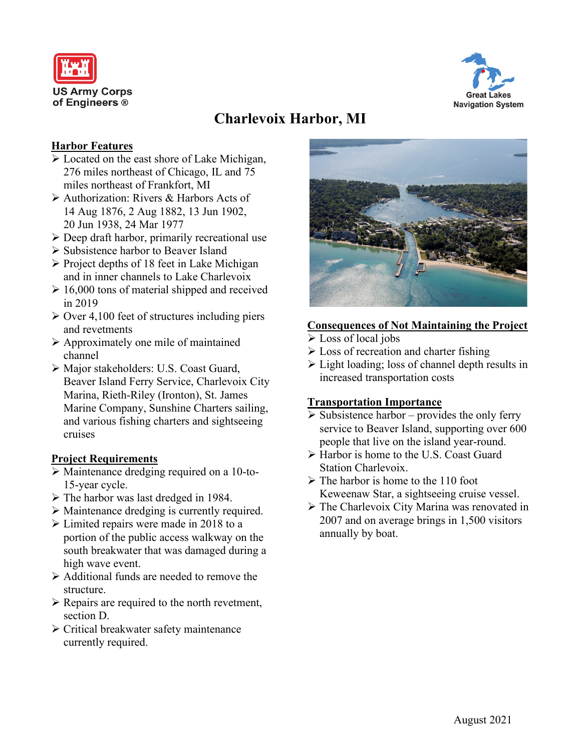



# **Charlevoix Harbor, MI**

### **Harbor Features**

- Located on the east shore of Lake Michigan, 276 miles northeast of Chicago, IL and 75 miles northeast of Frankfort, MI
- Authorization: Rivers & Harbors Acts of 14 Aug 1876, 2 Aug 1882, 13 Jun 1902, 20 Jun 1938, 24 Mar 1977
- $\triangleright$  Deep draft harbor, primarily recreational use
- Subsistence harbor to Beaver Island
- $\triangleright$  Project depths of 18 feet in Lake Michigan and in inner channels to Lake Charlevoix
- $\geq 16,000$  tons of material shipped and received in 2019
- $\geq$  Over 4,100 feet of structures including piers and revetments
- $\triangleright$  Approximately one mile of maintained channel
- Major stakeholders: U.S. Coast Guard, Beaver Island Ferry Service, Charlevoix City Marina, Rieth-Riley (Ironton), St. James Marine Company, Sunshine Charters sailing, and various fishing charters and sightseeing cruises

# **Project Requirements**

- Maintenance dredging required on a 10-to-15-year cycle.
- $\triangleright$  The harbor was last dredged in 1984.
- Maintenance dredging is currently required.
- Elimited repairs were made in 2018 to a portion of the public access walkway on the south breakwater that was damaged during a high wave event.
- Additional funds are needed to remove the structure.
- $\triangleright$  Repairs are required to the north revetment, section D.
- Critical breakwater safety maintenance currently required.



## **Consequences of Not Maintaining the Project**

- $\triangleright$  Loss of local jobs
- $\triangleright$  Loss of recreation and charter fishing
- $\triangleright$  Light loading; loss of channel depth results in increased transportation costs

# **Transportation Importance**

- $\triangleright$  Subsistence harbor provides the only ferry service to Beaver Island, supporting over 600 people that live on the island year-round.
- Harbor is home to the U.S. Coast Guard Station Charlevoix.
- $\triangleright$  The harbor is home to the 110 foot Keweenaw Star, a sightseeing cruise vessel.
- The Charlevoix City Marina was renovated in 2007 and on average brings in 1,500 visitors annually by boat.